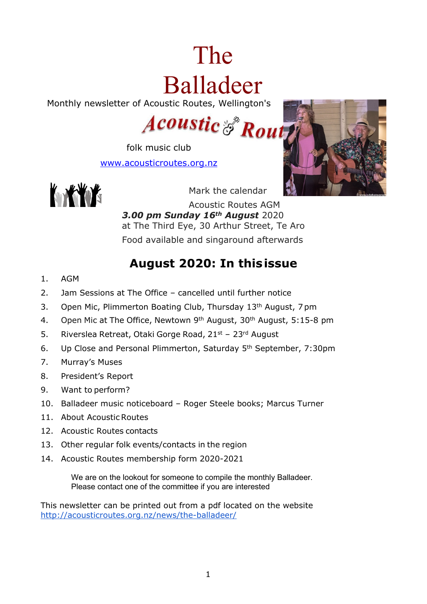# The Balladeer

Monthly newsletter of Acoustic Routes, Wellington's

# **Acoustic & Rout**

folk music club [www.acousticroutes.org.nz](http://www.acousticroutes.org.nz/)





Mark the calendar

Acoustic Routes AGM *3.00 pm Sunday 16th August* 2020 at The Third Eye, 30 Arthur Street, Te Aro Food available and singaround afterwards

# **August 2020: In thisissue**

- 1. AGM
- 2. Jam Sessions at The Office cancelled until further notice
- 3. Open Mic, Plimmerton Boating Club, Thursday 13<sup>th</sup> August, 7pm
- 4. Open Mic at The Office, Newtown 9<sup>th</sup> August, 30<sup>th</sup> August, 5:15-8 pm
- 5. Riverslea Retreat, Otaki Gorge Road, 21st 23rd August
- 6. Up Close and Personal Plimmerton, Saturday 5th September, 7:30pm
- 7. Murray's Muses
- 8. President's Report
- 9. Want to perform?
- 10. Balladeer music noticeboard Roger Steele books; Marcus Turner
- 11. About Acoustic Routes
- 12. Acoustic Routes contacts
- 13. Other regular folk events/contacts in the region
- 14. Acoustic Routes membership form 2020-2021

We are on the lookout for someone to compile the monthly Balladeer. Please contact one of the committee if you are interested

This newsletter can be printed out from a pdf located on the website <http://acousticroutes.org.nz/news/the-balladeer/>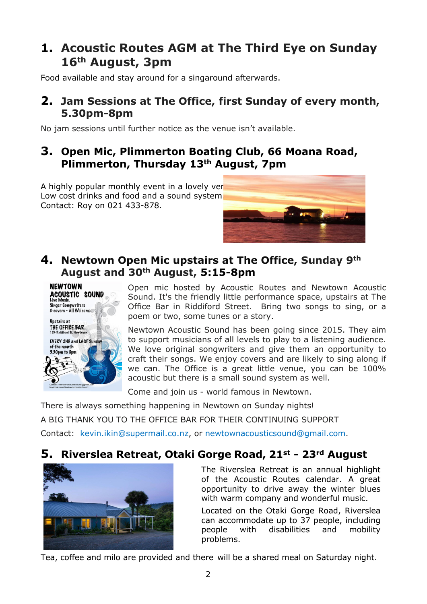# **1. Acoustic Routes AGM at The Third Eye on Sunday 16th August, 3pm**

Food available and stay around for a singaround afterwards.

## **2. Jam Sessions at The Office, first Sunday of every month, 5.30pm-8pm**

No jam sessions until further notice as the venue isn't available.

## **3. Open Mic, Plimmerton Boating Club, 66 Moana Road, Plimmerton, Thursday 13th August, 7pm**

A highly popular monthly event in a lovely ver Low cost drinks and food and a sound system. Contact: Roy on 021 433-878.



## **4. Newtown Open Mic upstairs at The Office, Sunday 9th August and 30th August, 5:15-8pm**



Open mic hosted by Acoustic Routes and Newtown Acoustic Sound. It's the friendly little performance space, upstairs at The Office Bar in Riddiford Street. Bring two songs to sing, or a poem or two, some tunes or a story.

Newtown Acoustic Sound has been going since 2015. They aim to support musicians of all levels to play to a listening audience. We love original songwriters and give them an opportunity to craft their songs. We enjoy covers and are likely to sing along if we can. The Office is a great little venue, you can be 100% acoustic but there is a small sound system as well.

Come and join us - world famous in Newtown.

There is always something happening in Newtown on Sunday nights! A BIG THANK YOU TO THE OFFICE BAR FOR THEIR CONTINUING SUPPORT Contact: kevin.ikin@supermail.co.nz, or newtownacousticsound@gmail.com.

# **5. Riverslea Retreat, Otaki Gorge Road, 21st - 23rd August**



The Riverslea Retreat is an annual highlight of the Acoustic Routes calendar. A great opportunity to drive away the winter blues with warm company and wonderful music.

Located on the Otaki Gorge Road, Riverslea can accommodate up to 37 people, including people with disabilities and mobility problems.

Tea, coffee and milo are provided and there will be a shared meal on Saturday night.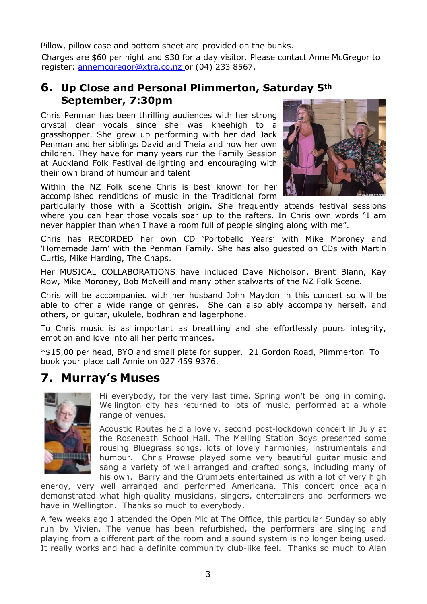Pillow, pillow case and bottom sheet are provided on the bunks.

Charges are \$60 per night and \$30 for a day visitor. Please contact Anne McGregor to register: [annemcgregor@xtra.co.nz](mailto:annemcgregor@xtra.co.nz) or (04) 233 8567.

## **6. Up Close and Personal Plimmerton, Saturday 5th September, 7:30pm**

Chris Penman has been thrilling audiences with her strong crystal clear vocals since she was kneehigh to a grasshopper. She grew up performing with her dad Jack Penman and her siblings David and Theia and now her own children. They have for many years run the Family Session at Auckland Folk Festival delighting and encouraging with their own brand of humour and talent



particularly those with a Scottish origin. She frequently attends festival sessions where you can hear those vocals soar up to the rafters. In Chris own words "I am never happier than when I have a room full of people singing along with me".

Chris has RECORDED her own CD 'Portobello Years' with Mike Moroney and 'Homemade Jam' with the Penman Family. She has also guested on CDs with Martin Curtis, Mike Harding, The Chaps.

Her MUSICAL COLLABORATIONS have included Dave Nicholson, Brent Blann, Kay Row, Mike Moroney, Bob McNeill and many other stalwarts of the NZ Folk Scene.

Chris will be accompanied with her husband John Maydon in this concert so will be able to offer a wide range of genres. She can also ably accompany herself, and others, on guitar, ukulele, bodhran and lagerphone.

To Chris music is as important as breathing and she effortlessly pours integrity, emotion and love into all her performances.

\*\$15,00 per head, BYO and small plate for supper. 21 Gordon Road, Plimmerton To book your place call Annie on 027 459 9376.

# **7. Murray's Muses**



Hi everybody, for the very last time. Spring won't be long in coming. Wellington city has returned to lots of music, performed at a whole range of venues.

Acoustic Routes held a lovely, second post-lockdown concert in July at the Roseneath School Hall. The Melling Station Boys presented some rousing Bluegrass songs, lots of lovely harmonies, instrumentals and humour. Chris Prowse played some very beautiful guitar music and sang a variety of well arranged and crafted songs, including many of his own. Barry and the Crumpets entertained us with a lot of very high

energy, very well arranged and performed Americana. This concert once again demonstrated what high-quality musicians, singers, entertainers and performers we have in Wellington. Thanks so much to everybody.

A few weeks ago I attended the Open Mic at The Office, this particular Sunday so ably run by Vivien. The venue has been refurbished, the performers are singing and playing from a different part of the room and a sound system is no longer being used. It really works and had a definite community club-like feel. Thanks so much to Alan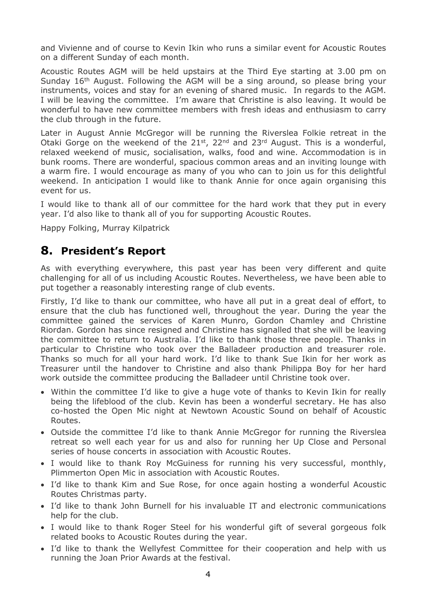and Vivienne and of course to Kevin Ikin who runs a similar event for Acoustic Routes on a different Sunday of each month.

Acoustic Routes AGM will be held upstairs at the Third Eye starting at 3.00 pm on Sunday 16th August. Following the AGM will be a sing around, so please bring your instruments, voices and stay for an evening of shared music. In regards to the AGM. I will be leaving the committee. I'm aware that Christine is also leaving. It would be wonderful to have new committee members with fresh ideas and enthusiasm to carry the club through in the future.

Later in August Annie McGregor will be running the Riverslea Folkie retreat in the Otaki Gorge on the weekend of the  $21^{st}$ ,  $22^{nd}$  and  $23^{rd}$  August. This is a wonderful, relaxed weekend of music, socialisation, walks, food and wine. Accommodation is in bunk rooms. There are wonderful, spacious common areas and an inviting lounge with a warm fire. I would encourage as many of you who can to join us for this delightful weekend. In anticipation I would like to thank Annie for once again organising this event for us.

I would like to thank all of our committee for the hard work that they put in every year. I'd also like to thank all of you for supporting Acoustic Routes.

Happy Folking, Murray Kilpatrick

## **8. President's Report**

As with everything everywhere, this past year has been very different and quite challenging for all of us including Acoustic Routes. Nevertheless, we have been able to put together a reasonably interesting range of club events.

Firstly, I'd like to thank our committee, who have all put in a great deal of effort, to ensure that the club has functioned well, throughout the year. During the year the committee gained the services of Karen Munro, Gordon Chamley and Christine Riordan. Gordon has since resigned and Christine has signalled that she will be leaving the committee to return to Australia. I'd like to thank those three people. Thanks in particular to Christine who took over the Balladeer production and treasurer role. Thanks so much for all your hard work. I'd like to thank Sue Ikin for her work as Treasurer until the handover to Christine and also thank Philippa Boy for her hard work outside the committee producing the Balladeer until Christine took over.

- Within the committee I'd like to give a huge vote of thanks to Kevin Ikin for really being the lifeblood of the club. Kevin has been a wonderful secretary. He has also co-hosted the Open Mic night at Newtown Acoustic Sound on behalf of Acoustic Routes.
- Outside the committee I'd like to thank Annie McGregor for running the Riverslea retreat so well each year for us and also for running her Up Close and Personal series of house concerts in association with Acoustic Routes.
- I would like to thank Roy McGuiness for running his very successful, monthly, Plimmerton Open Mic in association with Acoustic Routes.
- I'd like to thank Kim and Sue Rose, for once again hosting a wonderful Acoustic Routes Christmas party.
- I'd like to thank John Burnell for his invaluable IT and electronic communications help for the club.
- I would like to thank Roger Steel for his wonderful gift of several gorgeous folk related books to Acoustic Routes during the year.
- I'd like to thank the Wellyfest Committee for their cooperation and help with us running the Joan Prior Awards at the festival.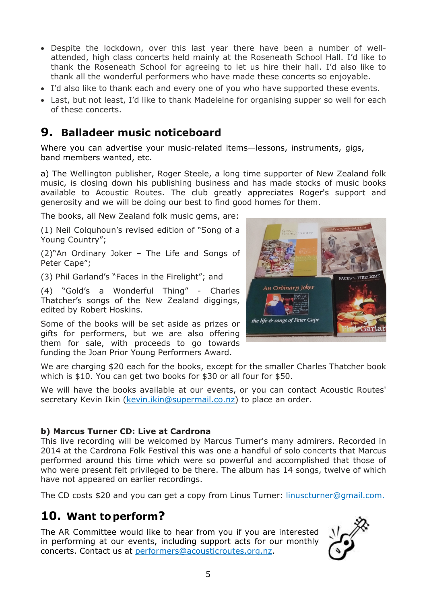- Despite the lockdown, over this last year there have been a number of wellattended, high class concerts held mainly at the Roseneath School Hall. I'd like to thank the Roseneath School for agreeing to let us hire their hall. I'd also like to thank all the wonderful performers who have made these concerts so enjoyable.
- I'd also like to thank each and every one of you who have supported these events.
- Last, but not least, I'd like to thank Madeleine for organising supper so well for each of these concerts.

# **9. Balladeer music noticeboard**

Where you can advertise your music-related items—lessons, instruments, gigs, band members wanted, etc.

a) The Wellington publisher, Roger Steele, a long time supporter of New Zealand folk music, is closing down his publishing business and has made stocks of music books available to Acoustic Routes. The club greatly appreciates Roger's support and generosity and we will be doing our best to find good homes for them.

The books, all New Zealand folk music gems, are:

(1) Neil Colquhoun's revised edition of "Song of a Young Country";

(2)"An Ordinary Joker – The Life and Songs of Peter Cape";

(3) Phil Garland's "Faces in the Firelight"; and

(4) "Gold's a Wonderful Thing" - Charles Thatcher's songs of the New Zealand diggings, edited by Robert Hoskins.

Some of the books will be set aside as prizes or gifts for performers, but we are also offering them for sale, with proceeds to go towards funding the Joan Prior Young Performers Award.

We are charging \$20 each for the books, except for the smaller Charles Thatcher book which is \$10. You can get two books for \$30 or all four for \$50.

We will have the books available at our events, or you can contact Acoustic Routes' secretary Kevin Ikin [\(kevin.ikin@supermail.co.nz\)](mailto:kevin.ikin@supermail.co.nz) to place an order.

## **b) Marcus Turner CD: Live at Cardrona**

This live recording will be welcomed by Marcus Turner's many admirers. Recorded in 2014 at the Cardrona Folk Festival this was one a handful of solo concerts that Marcus performed around this time which were so powerful and accomplished that those of who were present felt privileged to be there. The album has 14 songs, twelve of which have not appeared on earlier recordings.

The CD costs \$20 and you can get a copy from Linus Turner: [linuscturner@gmail.com.](mailto:linuscturner@gmail.com)

# **10. Want to perform?**

The AR Committee would like to hear from you if you are interested in performing at our events, including support acts for our monthly concerts. Contact us at [performers@acousticroutes.org.nz.](mailto:performers@acousticroutes.org.nz)



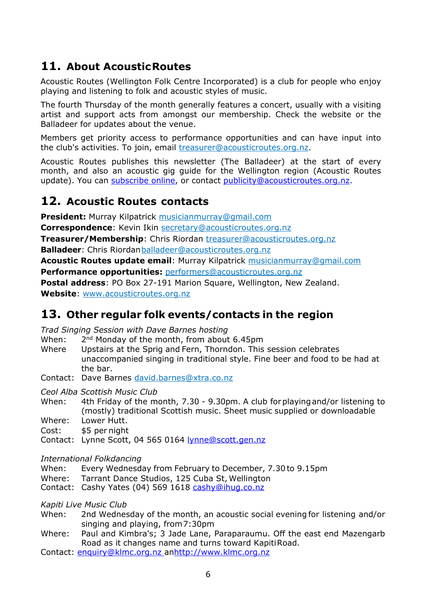# **11. About AcousticRoutes**

Acoustic Routes (Wellington Folk Centre Incorporated) is a club for people who enjoy playing and listening to folk and acoustic styles of music.

The fourth Thursday of the month generally features a concert, usually with a visiting artist and support acts from amongst our membership. Check the website or the Balladeer for updates about the venue.

Members get priority access to performance opportunities and can have input into the club's activities. To join, email [treasurer@acousticroutes.org.nz](mailto:treasurer@acousticroutes.org.nz).

Acoustic Routes publishes this newsletter (The Balladeer) at the start of every month, and also an acoustic gig guide for the Wellington region (Acoustic Routes update). You can [subscribe](http://eepurl.com/mP90b) [online](http://eepurl.com/mP90b), or contact [publicity@acousticroutes.org.nz.](mailto:publicity@acousticroutes.org.nz)

## **12. Acoustic Routes contacts**

**President:** Murray Kilpatrick [musicianmurray@gmail.com](mailto:musicianmurray@gmail.com)

**Correspondence**: Kevin Ikin [secretary@acousticroutes.org.nz](mailto:secretary@acousticroutes.org.nz)

**Treasurer/Membership**: Chris Riordan [treasurer@acousticroutes.org.nz](mailto:treasurer@acousticroutes.org.nz)

**Balladeer**: Chris Riordan[balladeer@acousticroutes.org.nz](mailto:balladeer@acousticroutes.org.nz)

**Acoustic Routes update email**: Murray Kilpatrick [musicianmurray@gmail.com](mailto:musicianmurray@gmail.com)

**Performance opportunities:** [performers@acousticroutes.org.nz](mailto:performers@acousticroutes.org.nz)

**Postal address**: PO Box 27-191 Marion Square, Wellington, New Zealand. **Website**: [www.acousticroutes.org.nz](http://www.acousticroutes.org.nz/)

# **13. Other regular folk events/contacts in the region**

*Trad Singing Session with Dave Barnes hosting*

- When: 2<sup>nd</sup> Monday of the month, from about 6.45pm
- Where Upstairs at the Sprig and Fern, Thorndon. This session celebrates unaccompanied singing in traditional style. Fine beer and food to be had at the bar.

Contact: Dave Barnes [david.barnes@xtra.co.nz](mailto:david.barnes@xtra.co.nz)

*Ceol Alba Scottish Music Club*

- When: 4th Friday of the month, 7.30 9.30pm. A club forplayingand/or listening to (mostly) traditional Scottish music. Sheet music supplied or downloadable Where: Lower Hutt.
- Cost: \$5 per night

Contact: Lynne Scott, 04 565 0164 [lynne@scott.gen.nz](mailto:lynne@scott.gen.nz)

*International Folkdancing*

When: Every Wednesday from February to December, 7.30 to 9.15pm

Where: Tarrant Dance Studios, 125 Cuba St, Wellington

Contact: Cashy Yates (04) 569 1618 [cashy@ihug.co.nz](mailto:cashy@ihug.co.nz)

*Kapiti Live Music Club*

- When: 2nd Wednesday of the month, an acoustic social evening for listening and/or singing and playing, from7:30pm
- Where: Paul and Kimbra's; 3 Jade Lane, Paraparaumu. Off the east end Mazengarb Road as it changes name and turns toward KapitiRoad.
- Contact: [enquiry@klmc.org.nz](mailto:enquiry@klmc.org.nz) an[http://www.klmc.org.nz](http://www.klmc.org.nz/)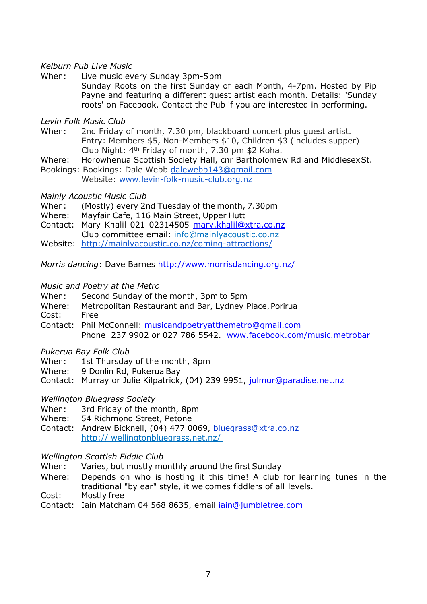## *Kelburn Pub Live Music*

When: Live music every Sunday 3pm-5pm

Sunday Roots on the first Sunday of each Month, 4-7pm. Hosted by Pip Payne and featuring a different guest artist each month. Details: 'Sunday roots' on Facebook. Contact the Pub if you are interested in performing.

## *Levin Folk Music Club*

- When: 2nd Friday of month, 7.30 pm, blackboard concert plus guest artist. Entry: Members \$5, Non-Members \$10, Children \$3 (includes supper) Club Night: 4th Friday of month, 7.30 pm \$2 Koha.
- Where: Horowhenua Scottish Society Hall, cnr Bartholomew Rd and MiddlesexSt.
- Bookings: Bookings: Dale Webb [dalewebb143@gmail.com](mailto:dalewebb143@gmail.com)
	- Website: [www.levin-folk-music-club.org.nz](http://www.levin-folk-music-club.org.nz/)

## *Mainly Acoustic Music Club*

- When: (Mostly) every 2nd Tuesday of the month, 7.30pm
- Where: Mayfair Cafe, 116 Main Street, Upper Hutt
- Contact: Mary Khalil 021 02314505 [mary.khalil@xtra.co.nz](mailto:mary.khalil@xtra.co.nz)
- Club committee email: [info@mainlyacoustic.co.nz](mailto:info@mainlyacoustic.co.nz)
- Website: <http://mainlyacoustic.co.nz/coming-attractions/>

*Morris dancing*: Dave Barnes <http://www.morrisdancing.org.nz/>

#### *Music and Poetry at the Metro*

- When: Second Sunday of the month, 3pm to 5pm
- Where: Metropolitan Restaurant and Bar, Lydney Place,Porirua
- Cost: Free
- Contact: Phil McConnell: [musicandpoetryatthemetro@gmail.com](mailto:musicandpoetryatthemetro@gmail.com) Phone 237 9902 or 027 786 5542. [www.facebook.com/music.metrobar](http://www.facebook.com/music.metrobar)

#### *Pukerua Bay Folk Club*

- When: 1st Thursday of the month, 8pm
- Where: 9 Donlin Rd, Pukerua Bay
- Contact: Murray or Julie Kilpatrick, (04) 239 9951, [julmur@paradise.net.nz](mailto:julmur@paradise.net.nz)

#### *Wellington Bluegrass Society*

- When: 3rd Friday of the month, 8pm
- Where: 54 Richmond Street, Petone
- Contact: Andrew Bicknell, (04) 477 0069, [bluegrass@xtra.co.nz](mailto:bluegrass@xtra.co.nz) http:// wellingtonbluegrass.net.nz/

#### *Wellington Scottish Fiddle Club*

- When: Varies, but mostly monthly around the first Sunday
- Where: Depends on who is hosting it this time! A club for learning tunes in the traditional "by ear" style, it welcomes fiddlers of all levels.
- Cost: Mostly free
- Contact: Iain Matcham 04 568 8635, email *[iain@jumbletree.com](https://owa.massey.ac.nz/owa/redir.aspx?C=b6ZGoQzvd06NTFDkVjrAzHoO8s-VjNAI5UIQWa3JhS0QqHeZ5g6F-2S0WGPlZ0RP1IDcDx7pWtU.&amp;amp;amp;amp;URL=mailto:iain@jumbletree.com)*